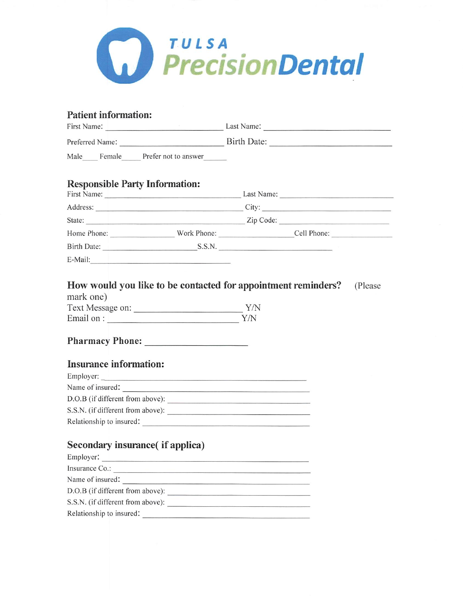

# Patient information:

| First Name:<br>Preferred Name: |  |  | Last Name:<br>Birth Date: |  |  |
|--------------------------------|--|--|---------------------------|--|--|
|                                |  |  |                           |  |  |

#### Responsible Party Information:

| First Name:        |             | Last Name:  |  |  |  |  |
|--------------------|-------------|-------------|--|--|--|--|
| Address:           |             | City:       |  |  |  |  |
| State:             | Zip Code:   |             |  |  |  |  |
| Home Phone:        | Work Phone: | Cell Phone: |  |  |  |  |
| <b>Birth Date:</b> | S.S.N.      |             |  |  |  |  |
| E-Mail:            |             |             |  |  |  |  |

# How would you like to be contacted for appointment reminders? (Please

| mark one)        |     |
|------------------|-----|
| Text Message on: | Y/N |
| Email on :       | Y/N |

#### Pharmacy Phone:

### Insurance information:

| Employer:                         |  |
|-----------------------------------|--|
| Name of insured:                  |  |
| D.O.B (if different from above):  |  |
| S.S.N. (if different from above): |  |
| Relationship to insured:          |  |

### Secondary insurance( if applica)

| Employer:                         |  |
|-----------------------------------|--|
| Insurance Co.:                    |  |
| Name of insured:                  |  |
| D.O.B (if different from above):  |  |
| S.S.N. (if different from above): |  |
| Relationship to insured:          |  |
|                                   |  |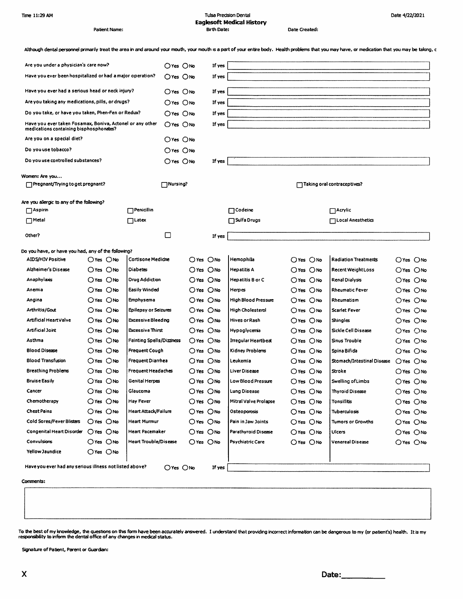| Time 11:29 AM |  |
|---------------|--|
|               |  |

Patient Name:

#### **Tulsa Precision Dental Eaglesoft Medical History Birth Date:**

Date Created:

Date 4/22/2021

| Although dental personnel primarily treat the area in and around your mouth, your mouth is a part of your entire body. Health problems that you may have, or medication that you may be taking, c |  |
|---------------------------------------------------------------------------------------------------------------------------------------------------------------------------------------------------|--|
|---------------------------------------------------------------------------------------------------------------------------------------------------------------------------------------------------|--|

| Are you under a physician's care now?                                                                |                       |                |                                  | OYes ONo                     |                | If yes |                            |                |                             |                |
|------------------------------------------------------------------------------------------------------|-----------------------|----------------|----------------------------------|------------------------------|----------------|--------|----------------------------|----------------|-----------------------------|----------------|
| Have you ever been hospitalized or had a major operation?                                            |                       |                | O'Yes ONo                        |                              | If yes         |        |                            |                |                             |                |
|                                                                                                      |                       |                |                                  |                              |                |        |                            |                |                             |                |
| Have you ever had a serious head or neck injury?                                                     |                       |                |                                  | O'Yes ONo                    |                | If yes |                            |                |                             |                |
| Are you taking any medications, pills, or drugs?                                                     |                       |                |                                  | O'Yes ONo                    |                | If yes |                            |                |                             |                |
| Do you take, or have you taken, Phen-Fen or Redux?                                                   |                       |                |                                  | O'es ONo                     |                | If yes |                            |                |                             |                |
| Have you ever taken Fosamax, Boniva, Actonel or any other<br>medications containing bisphosphonates? |                       |                |                                  | $O$ Yes $O$ No               |                | If yes |                            |                |                             |                |
| Are you on a special diet?                                                                           |                       |                |                                  | $\bigcirc$ Yes $\bigcirc$ No |                |        |                            |                |                             |                |
| Do you use tobacco?                                                                                  |                       |                |                                  | $O$ Yes $O$ No               |                |        |                            |                |                             |                |
| Do you use controlled substances?                                                                    |                       |                |                                  | $O$ Yes $O$ No               |                | If yes |                            |                |                             |                |
| Women: Are you                                                                                       |                       |                |                                  |                              |                |        |                            |                |                             |                |
| Pregnant/Trying to get pregnant?                                                                     |                       |                |                                  | $\Box$ Nursing?              |                |        |                            |                | Taking oral contraceptives? |                |
|                                                                                                      |                       |                |                                  |                              |                |        |                            |                |                             |                |
| Are you allergic to any of the following?                                                            |                       |                |                                  |                              |                |        |                            |                |                             |                |
| $\Box$ Aspirin                                                                                       |                       |                | $\Box$ Penicillin                |                              |                |        | $\Box$ Codeine             |                | $\Box$ Acrylic              |                |
| $\Box$ Metal                                                                                         |                       |                | ∏Latex                           |                              |                |        | $\Box$ Sulfa Drugs         |                | <b>□Local Anesthetics</b>   |                |
| Other?                                                                                               |                       |                |                                  | □                            |                | If yes |                            |                |                             |                |
| Do you have, or have you had, any of the following?                                                  |                       |                |                                  |                              |                |        |                            |                |                             |                |
| <b>AIDS/HIV Positive</b>                                                                             |                       | O'Yes ONo      | Cortisone Medicine               |                              | OYes ONo       |        | Hemophilia                 | $O$ Yes $O$ No | <b>Radiation Treatments</b> | $O$ Yes $O$ No |
| Alzheimer's Disease                                                                                  |                       | $O$ Yes $O$ No | Diabetes                         |                              | OYes ONo       |        | <b>Hepatitis A</b>         | O'Yes ONo      | <b>Recent Weight Loss</b>   | $O$ Yes $O$ No |
| Anaphylaxis                                                                                          |                       | $O$ Yes $O$ No | Drug Addiction                   |                              | $O$ Yes $O$ No |        | Hepatitis B or C           | $O$ Yes $O$ No | Renal Dialysis              | $O$ Yes $O$ No |
| Anemia                                                                                               |                       | $O$ Yes $O$ No | <b>Easily Winded</b>             |                              | $O$ Yes $O$ No |        | Herpes                     | $O$ Yes $O$ No | <b>Rheumatic Fever</b>      | O'res ONo      |
| Angina                                                                                               |                       | $O$ Yes $O$ No | Emphysema                        |                              | Oves Ono       |        | <b>High Blood Pressure</b> | O'Yes ONo      | Rheumatism                  | $O$ Yes $O$ No |
| <b>Arthritis/Gout</b>                                                                                | $O$ Yes $O$ No        |                | <b>Epilepsy or Seizures</b>      |                              | Oves ONo       |        | <b>High Cholesterol</b>    | O'Yes ONo      | Scarlet Fever               | $O$ Yes $O$ No |
| Artificial Heart Valve                                                                               |                       | $O$ Yes $O$ No | <b>Excessive Bleeding</b>        |                              | OYes ONo       |        | <b>Hives or Rash</b>       | $O$ Yes $O$ No | Shingles                    | $O$ Yes $O$ No |
| Artificial Joint                                                                                     |                       | $O$ Yes $O$ No | Excessive Thirst                 |                              | $O$ Yes $O$ No |        | Hypoglycenia               | $O$ Yes $O$ No | Sickle Cell Disease         | $O$ Yes $O$ No |
| Asthma                                                                                               |                       | $O$ Yes $O$ No | <b>Fainting Spells/Dizziness</b> |                              | ○Yes ○No       |        | Irregular Heartbeat        | $O$ Yes $O$ No | Sinus Trouble               | $O$ Yes $O$ No |
| <b>Blood Disease</b>                                                                                 |                       | OYes ONo       | <b>Frequent Cough</b>            |                              | ○Yes ○No       |        | Kidney Problems            | $O$ Yes $O$ No | Spina Bifida                | $O$ Yes $O$ No |
| <b>Blood Transfusion</b>                                                                             |                       | $O$ Yes $O$ No | <b>Frequent Diarrhea</b>         |                              | $O$ Yes $O$ No |        | Leukemia                   | $O$ Yes $O$ No | Stomach/Intestinal Disease  | $O$ Yes $O$ No |
| <b>Breathing Problems</b>                                                                            | $O$ Yes $O$ No        |                | <b>Frequent Headaches</b>        |                              | OYes ONo       |        | Liver Disease              | $O$ Yes $O$ No | Stroke                      | $O$ Yes $O$ No |
| <b>Bruise Easily</b>                                                                                 |                       | O'Yes ONo      | Genital Herpes                   |                              | OYes ONo       |        | Low Blood Pressure         | $O$ Yes $O$ No | Swelling of Limbs           | $O$ Yes $O$ No |
| Cancer                                                                                               | O'res O <sub>No</sub> |                | Giaucoma                         |                              | OYes ONo       |        | Lung Disease               | $O$ Yes $O$ No | <b>Thyroid Disease</b>      | $O$ Yes $O$ No |
| Chemotherapy                                                                                         | Oves ONo              |                | Hay Fever                        |                              | Ores ONo       |        | Mitral Valve Prolapse      | $O$ Yes $O$ No | Tonsiliitis                 | $O$ Yes $O$ No |
| <b>Chest Pains</b>                                                                                   | Oves Ono              |                | Heart Attack/Failure             |                              | O'res ONo      |        | Osteoporosis               | $O$ Yes $O$ No | Tuberculosis                | $O$ Yes $O$ No |
| <b>Cold Sores/Fever Blisters</b>                                                                     | $O$ Yes $O$ No        |                | Heart Murmur                     |                              | $O$ Yes $O$ No |        | Pain in Jaw Joints         | $O$ Yes $O$ No | <b>Tumors or Growths</b>    | $O$ Yes $O$ No |
| Congenital Heart Disorder                                                                            | $O$ Yes $O$ No        |                | Heart Pacemaker                  |                              | $O$ Yes $O$ No |        | <b>Parathyroid Disease</b> | $O$ Yes $O$ No | Ulcers                      | $O$ Yes $O$ No |
| Convulsions                                                                                          | $O$ Yes $O$ No        |                | <b>Heart Trouble/Disease</b>     |                              | $O$ Yes $O$ No |        | <b>Psychiatric Care</b>    | $O$ Yes $O$ No | Venereal Disease            | $O$ Yes $O$ No |
| Yellow Jaundice                                                                                      |                       | O'Yes ONo      |                                  |                              |                |        |                            |                |                             |                |
| Have you ever had any serious illness not listed above?                                              |                       |                |                                  | O'Yes ONo                    |                | If yes |                            |                |                             |                |

Comments:

To the best of my knowledge, the questions on this form have been accurately answered. I understand that providing incorrect information can be dangerous to my (or patient's) health. It is my<br>responsibility to inform the d

Signature of Patient, Parent or Guardian: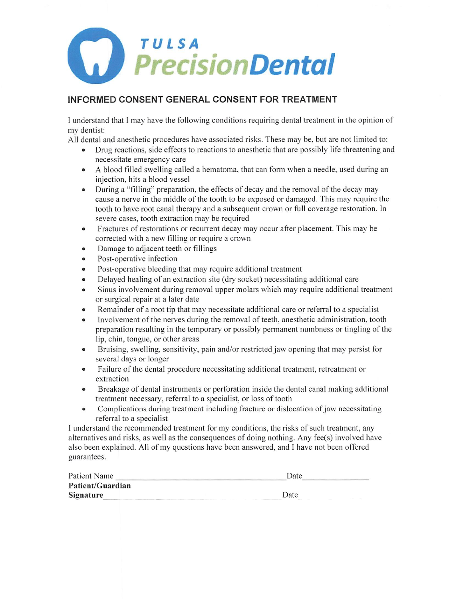

#### INFORMED CONSENT GENERAL CONSENT FOR TREATMENT

I understand that I may have the following conditions requiring dental treatment in the opinion of my dentist:

All dental and anesthetic procedures have associated risks. These may be, but are not limited to:

- Drug reactions, side effects to reactions to anesthetic that are possibly life threatening and necessitate emergency care
- A blood filled swelling called a hematoma, that can form when a needle, used during an injection, hits a blood vessel
- During a "filling" preparation, the effects of decay and the removal of the decay may cause a nerve in the middle of the tooth to be exposed or damaged. This may require the tooth to have root canal therapy and a subsequent crown or full coverage restoration. In severe cases, tooth extraction may be required
- Fractures of restorations or recurrent decay may occur after placement. This may be corrected with a new filling or require a crown
- Damage to adjacent teeth or fillings
- Post-operative infection
- Post-operative bleeding that may require additional treatment
- Delayed healing of an extraction site (dry socket) necessitating additional care
- Sinus involvement during removal upper molars which may require additional treatment or surgical repair at a later date
- Remainder of a root tip that may necessitate additional care or referral to a specialist
- Involvement of the nerves during the removal of teeth, anesthetic administration, tooth preparation resulting in the temporary or possibly permanent numbness or tingling of the lip, chin, tongue, or other areas
- Bruising, swelling, sensitivity, pain and/or restricted jaw opening that may persist for several days or longer
- Failure of the dental procedure necessitating additional treatment, retreatment or extraction
- Breakage of dental instruments or perforation inside the dental canal making additional treatment necessary, referral to a specialist, or loss of tooth
- Complications during treatment including fracture or dislocation of jaw necessitating referral to a specialist

I understand the recommended treatment for my conditions, the risks of such treatment, any alternatives and risks, as well as the consequences of doing nothing. Any fee(s) involved have also been explained. All of my questions have been answered, and I have not been offered guarantees.

| Patient Name     | Date |
|------------------|------|
| Patient/Guardian |      |
| Signature        | Date |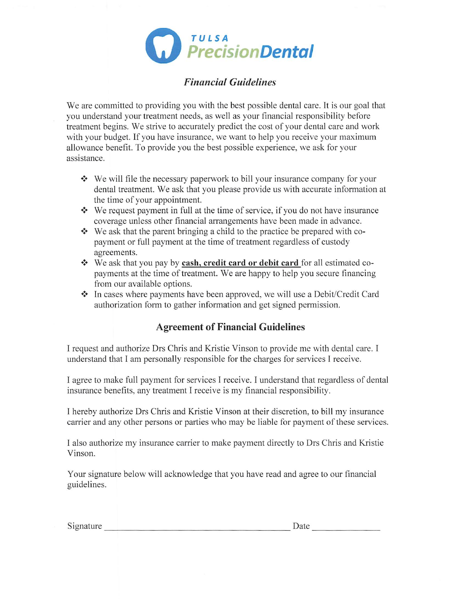

## Financial Guidelines

We are committed to providing you with the best possible dental care. It is our goal that you understand your treatment needs, as well as your financial responsibility before treatment begins. We strive to accurately predict the cost of your dental care and work with your budget. If you have insurance, we want to help you receive your maximum allowance benefit. To provide you the best possible experience, we ask for your assistance.

- We will file the necessary paperwork to bill your insurance company for your ❖ dental treatment. We ask that you please provide us with accurate information at the time of your appointment.
- We request payment in full at the time of service, if you do not have insurance ❖ coverage unless other financial arrangements have been made in advance.
- We ask that the parent bringing a child to the practice be prepared with co ❖ payment or full payment at the time of treatment regardless of custody agreements.
- ❖ We ask that you pay by **cash, credit card or debit card** for all estimated co payments at the time of treatment. We are happy to help you secure financing from our available options.
- In cases where payments have been approved, we will use a Debit/Credit Card ❖ authorization form to gather information and get signed permission.

#### Agreement of Financial Guidelines

I request and authorize Drs Chris and Kristie Vinson to provide me with dental care. I understand that I am personally responsible for the charges for services I receive.

I agree to make full payment for services I receive. I understand that regardless of dental insurance benefits, any treatment I receive is my financial responsibility.

I hereby authorize Drs Chris and Kristie Vinson at their discretion, to bill my insurance carrier and any other persons or parties who may be liable for payment of these services.

I also authorize my insurance carrier to make payment directly to Drs Chris and Kristie Vinson.

Your signature below will acknowledge that you have read and agree to our financial guidelines.

Signature Date